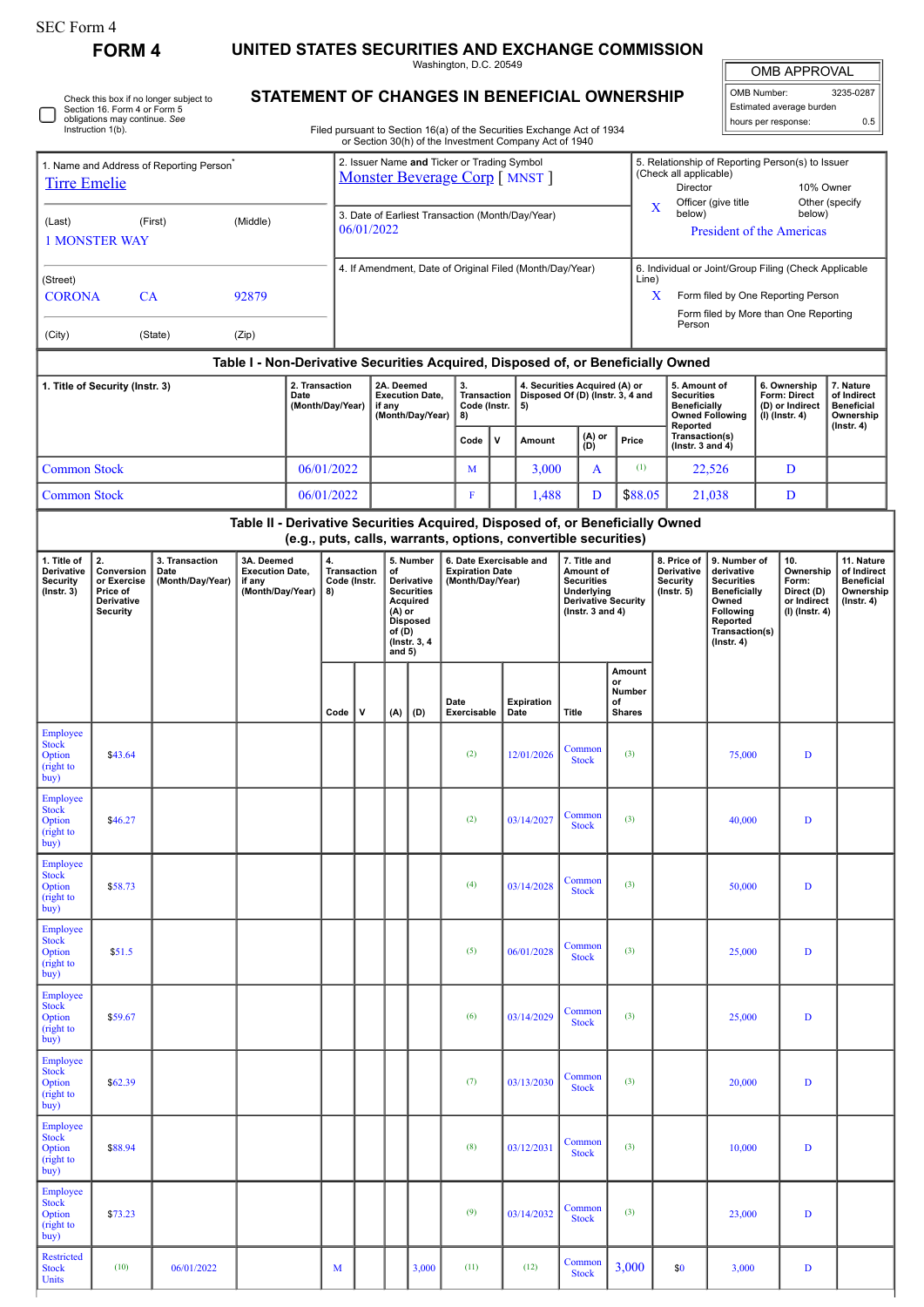| orm |  |
|-----|--|
|-----|--|

**FORM 4 UNITED STATES SECURITIES AND EXCHANGE COMMISSION**

Washington, D.C. 20549

OMB APPROVAL

| OMB Number:              | 3235-0287 |
|--------------------------|-----------|
| Estimated average burden |           |
| hours per response:      | 0.5       |

|  | Check this box if no longer subject to<br>Section 16. Form 4 or Form 5<br>obligations may continue. See<br>Instruction 1(b). |
|--|------------------------------------------------------------------------------------------------------------------------------|
|--|------------------------------------------------------------------------------------------------------------------------------|

## **STATEMENT OF CHANGES IN BENEFICIAL OWNERSHIP**

Filed pursuant to Section 16(a) of the Securities Exchange Act of 1934

|                                                                               |                                                                                                                                                                                                  |                                                                                                                                                                                                                                     |       |  |              |                                                                               |                                                                |                                                                                                                                     |   |                                                                       |             | or Section 30(h) of the Investment Company Act of 1940                                                               |       |               |                                                                  |                                                                                                                                                       |                                                                                                     |                                                                          |                                                                                 |                                                                                |  |
|-------------------------------------------------------------------------------|--------------------------------------------------------------------------------------------------------------------------------------------------------------------------------------------------|-------------------------------------------------------------------------------------------------------------------------------------------------------------------------------------------------------------------------------------|-------|--|--------------|-------------------------------------------------------------------------------|----------------------------------------------------------------|-------------------------------------------------------------------------------------------------------------------------------------|---|-----------------------------------------------------------------------|-------------|----------------------------------------------------------------------------------------------------------------------|-------|---------------|------------------------------------------------------------------|-------------------------------------------------------------------------------------------------------------------------------------------------------|-----------------------------------------------------------------------------------------------------|--------------------------------------------------------------------------|---------------------------------------------------------------------------------|--------------------------------------------------------------------------------|--|
| 1. Name and Address of Reporting Person <sup>7</sup><br><u>Tirre Emelie</u>   |                                                                                                                                                                                                  |                                                                                                                                                                                                                                     |       |  |              | 2. Issuer Name and Ticker or Trading Symbol<br>Monster Beverage Corp [ MNST ] |                                                                |                                                                                                                                     |   |                                                                       |             |                                                                                                                      |       |               |                                                                  | 5. Relationship of Reporting Person(s) to Issuer<br>(Check all applicable)<br><b>Director</b>                                                         |                                                                                                     |                                                                          | 10% Owner                                                                       |                                                                                |  |
| (Middle)<br>(Last)<br>(First)<br><b>1 MONSTER WAY</b>                         |                                                                                                                                                                                                  |                                                                                                                                                                                                                                     |       |  |              |                                                                               | 3. Date of Earliest Transaction (Month/Day/Year)<br>06/01/2022 |                                                                                                                                     |   |                                                                       |             |                                                                                                                      |       |               |                                                                  |                                                                                                                                                       | Other (specify<br>Officer (give title)<br>X<br>below)<br>below)<br><b>President of the Americas</b> |                                                                          |                                                                                 |                                                                                |  |
| (Street)<br><b>CORONA</b>                                                     |                                                                                                                                                                                                  | 4. If Amendment, Date of Original Filed (Month/Day/Year)<br>6. Individual or Joint/Group Filing (Check Applicable<br>Line)<br>Form filed by One Reporting Person<br>$\mathbf{x}$<br>Form filed by More than One Reporting<br>Person |       |  |              |                                                                               |                                                                |                                                                                                                                     |   |                                                                       |             |                                                                                                                      |       |               |                                                                  |                                                                                                                                                       |                                                                                                     |                                                                          |                                                                                 |                                                                                |  |
| (City)                                                                        |                                                                                                                                                                                                  | (State)                                                                                                                                                                                                                             | (Zip) |  |              |                                                                               |                                                                |                                                                                                                                     |   |                                                                       |             |                                                                                                                      |       |               |                                                                  |                                                                                                                                                       |                                                                                                     |                                                                          |                                                                                 |                                                                                |  |
|                                                                               |                                                                                                                                                                                                  |                                                                                                                                                                                                                                     |       |  |              |                                                                               |                                                                |                                                                                                                                     |   |                                                                       |             |                                                                                                                      |       |               |                                                                  | Table I - Non-Derivative Securities Acquired, Disposed of, or Beneficially Owned                                                                      |                                                                                                     |                                                                          |                                                                                 |                                                                                |  |
| 2. Transaction<br>1. Title of Security (Instr. 3)<br>Date<br>(Month/Day/Year) |                                                                                                                                                                                                  |                                                                                                                                                                                                                                     |       |  |              | 2A. Deemed<br><b>Execution Date,</b><br>if any<br>(Month/Day/Year)            |                                                                |                                                                                                                                     |   | 3.<br>Transaction  <br>Code (Instr.<br>8)                             |             | 4. Securities Acquired (A) or<br>Disposed Of (D) (Instr. 3, 4 and<br>5)                                              |       |               |                                                                  | 5. Amount of<br><b>Securities</b><br><b>Beneficially</b><br>Reported                                                                                  | <b>Owned Following</b>                                                                              |                                                                          | 6. Ownership<br><b>Form: Direct</b><br>(D) or Indirect<br>(I) (Instr. 4)        | 7. Nature<br>of Indirect<br><b>Beneficial</b><br>Ownership<br>$($ Instr. 4 $)$ |  |
|                                                                               |                                                                                                                                                                                                  |                                                                                                                                                                                                                                     |       |  |              |                                                                               |                                                                |                                                                                                                                     |   | Code                                                                  | $\mathbf v$ | Amount                                                                                                               |       | (A) or<br>(D) | Price                                                            | Transaction(s)<br>(Instr. 3 and 4)                                                                                                                    |                                                                                                     |                                                                          |                                                                                 |                                                                                |  |
| <b>Common Stock</b>                                                           |                                                                                                                                                                                                  |                                                                                                                                                                                                                                     |       |  | 06/01/2022   |                                                                               |                                                                |                                                                                                                                     |   | M                                                                     |             | 3,000                                                                                                                |       | A             | (1)                                                              |                                                                                                                                                       | 22,526                                                                                              |                                                                          | D                                                                               |                                                                                |  |
| <b>Common Stock</b>                                                           |                                                                                                                                                                                                  |                                                                                                                                                                                                                                     |       |  | 06/01/2022   |                                                                               |                                                                |                                                                                                                                     | F |                                                                       | 1,488       |                                                                                                                      | D     | \$88.05       |                                                                  | 21,038                                                                                                                                                |                                                                                                     | D                                                                        |                                                                                 |                                                                                |  |
|                                                                               |                                                                                                                                                                                                  |                                                                                                                                                                                                                                     |       |  |              |                                                                               |                                                                |                                                                                                                                     |   |                                                                       |             | (e.g., puts, calls, warrants, options, convertible securities)                                                       |       |               |                                                                  | Table II - Derivative Securities Acquired, Disposed of, or Beneficially Owned                                                                         |                                                                                                     |                                                                          |                                                                                 |                                                                                |  |
| 1. Title of<br>Derivative<br>Security<br>$($ Instr. 3 $)$                     | 2.<br>3. Transaction<br>3A. Deemed<br><b>Execution Date,</b><br>Conversion<br>Date<br>or Exercise<br>(Month/Day/Year)<br>if any<br>(Month/Day/Year)<br>Price of<br>Derivative<br><b>Security</b> |                                                                                                                                                                                                                                     |       |  |              | 4.<br><b>Transaction</b><br>οf<br>Code (Instr.<br>8)                          |                                                                | 5. Number<br>Derivative<br><b>Securities</b><br><b>Acquired</b><br>(A) or<br><b>Disposed</b><br>of (D)<br>(Instr. 3, 4)<br>and $5)$ |   | 6. Date Exercisable and<br><b>Expiration Date</b><br>(Month/Day/Year) |             | 7. Title and<br>Amount of<br><b>Securities</b><br>Underlying<br><b>Derivative Security</b><br>$($ lnstr. 3 and 4 $)$ |       |               | 8. Price of<br><b>Derivative</b><br>Security<br>$($ lnstr. 5 $)$ | 9. Number of<br>derivative<br><b>Securities</b><br><b>Beneficially</b><br>Owned<br><b>Following</b><br>Reported<br>Transaction(s)<br>$($ Instr. 4 $)$ |                                                                                                     | 10.<br>Ownership<br>Form:<br>Direct (D)<br>or Indirect<br>(I) (Instr. 4) | 11. Nature<br>of Indirect<br><b>Beneficial</b><br>Ownership<br>$($ lnstr. 4 $)$ |                                                                                |  |
|                                                                               |                                                                                                                                                                                                  |                                                                                                                                                                                                                                     |       |  | $Code \vert$ | $\mathbf v$                                                                   |                                                                | $(A)$ $(D)$                                                                                                                         |   | Date<br>Exercisable                                                   |             | <b>Expiration</b><br>Date                                                                                            | Title |               | Amount<br>or<br>Number<br>of<br><b>Shares</b>                    |                                                                                                                                                       |                                                                                                     |                                                                          |                                                                                 |                                                                                |  |

|                                                  |         |            |      |           |     | $(\text{Instr. 3, 4})$<br>and 5) |                     |                    |                        |                                               |     | $($ lnstr. 4 $)$ |             |  |
|--------------------------------------------------|---------|------------|------|-----------|-----|----------------------------------|---------------------|--------------------|------------------------|-----------------------------------------------|-----|------------------|-------------|--|
|                                                  |         |            | Code | ${\bf v}$ | (A) | (D)                              | Date<br>Exercisable | Expiration<br>Date | <b>Title</b>           | Amount<br>or<br>Number<br>of<br><b>Shares</b> |     |                  |             |  |
| Employee<br>Stock<br>Option<br>(right to<br>buy) | \$43.64 |            |      |           |     |                                  | (2)                 | 12/01/2026         | Common<br><b>Stock</b> | (3)                                           |     | 75,000           | ${\bf D}$   |  |
| Employee<br>Stock<br>Option<br>(right to<br>buy) | \$46.27 |            |      |           |     |                                  | (2)                 | 03/14/2027         | Common<br><b>Stock</b> | (3)                                           |     | 40,000           | D           |  |
| Employee<br>Stock<br>Option<br>(right to<br>buy) | \$58.73 |            |      |           |     |                                  | (4)                 | 03/14/2028         | Common<br><b>Stock</b> | (3)                                           |     | 50,000           | $\mathbf D$ |  |
| Employee<br>Stock<br>Option<br>(right to<br>buy) | \$51.5  |            |      |           |     |                                  | (5)                 | 06/01/2028         | Common<br><b>Stock</b> | (3)                                           |     | 25,000           | $\mathbf D$ |  |
| Employee<br>Stock<br>Option<br>(right to<br>buy) | \$59.67 |            |      |           |     |                                  | (6)                 | 03/14/2029         | Common<br><b>Stock</b> | (3)                                           |     | 25,000           | $\mathbf D$ |  |
| Employee<br>Stock<br>Option<br>(right to<br>buy) | \$62.39 |            |      |           |     |                                  | (7)                 | 03/13/2030         | Common<br><b>Stock</b> | (3)                                           |     | 20,000           | D           |  |
| Employee<br>Stock<br>Option<br>(right to buy)    | \$88.94 |            |      |           |     |                                  | (8)                 | 03/12/2031         | Common<br><b>Stock</b> | (3)                                           |     | 10,000           | D           |  |
| Employee<br>Stock<br>Option<br>(right to<br>buy) | \$73.23 |            |      |           |     |                                  | (9)                 | 03/14/2032         | Common<br><b>Stock</b> | (3)                                           |     | 23,000           | D           |  |
| Restricted<br><b>Stock</b><br><b>Units</b>       | (10)    | 06/01/2022 | M    |           |     | 3,000                            | (11)                | (12)               | Common<br><b>Stock</b> | 3,000                                         | \$0 | 3,000            | $\mathbf D$ |  |